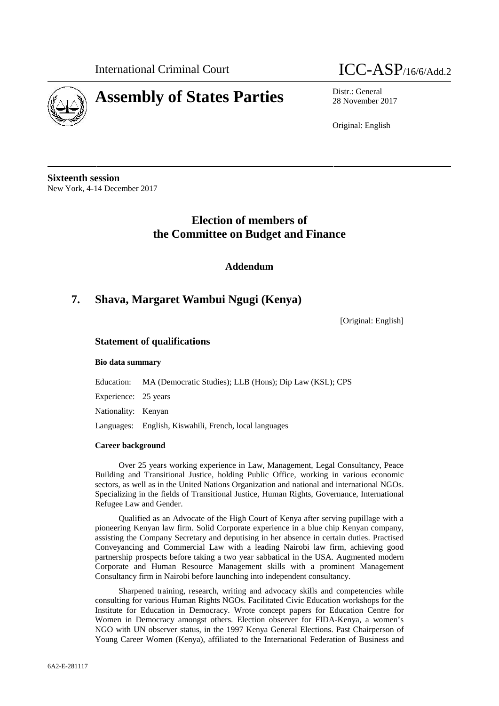

# **Assembly of States Parties** Distr.: General



28 November 2017

Original: English

**Sixteenth session** New York, 4-14 December 2017

# **Election of members of the Committee on Budget and Finance**

**Addendum**

# **7. Shava, Margaret Wambui Ngugi (Kenya)**

[Original: English]

## **Statement of qualifications**

## **Bio data summary**

Education: MA (Democratic Studies); LLB (Hons); Dip Law (KSL); CPS

Experience: 25 years

Nationality: Kenyan

Languages: English, Kiswahili, French, local languages

### **Career background**

Over 25 years working experience in Law, Management, Legal Consultancy, Peace Building and Transitional Justice, holding Public Office, working in various economic sectors, as well as in the United Nations Organization and national and international NGOs. Specializing in the fields of Transitional Justice, Human Rights, Governance, International Refugee Law and Gender.

Qualified as an Advocate of the High Court of Kenya after serving pupillage with a pioneering Kenyan law firm. Solid Corporate experience in a blue chip Kenyan company, assisting the Company Secretary and deputising in her absence in certain duties. Practised Conveyancing and Commercial Law with a leading Nairobi law firm, achieving good partnership prospects before taking a two year sabbatical in the USA. Augmented modern Corporate and Human Resource Management skills with a prominent Management Consultancy firm in Nairobi before launching into independent consultancy.

Sharpened training, research, writing and advocacy skills and competencies while consulting for various Human Rights NGOs. Facilitated Civic Education workshops for the Institute for Education in Democracy. Wrote concept papers for Education Centre for Women in Democracy amongst others. Election observer for FIDA-Kenya, a women's NGO with UN observer status, in the 1997 Kenya General Elections. Past Chairperson of Young Career Women (Kenya), affiliated to the International Federation of Business and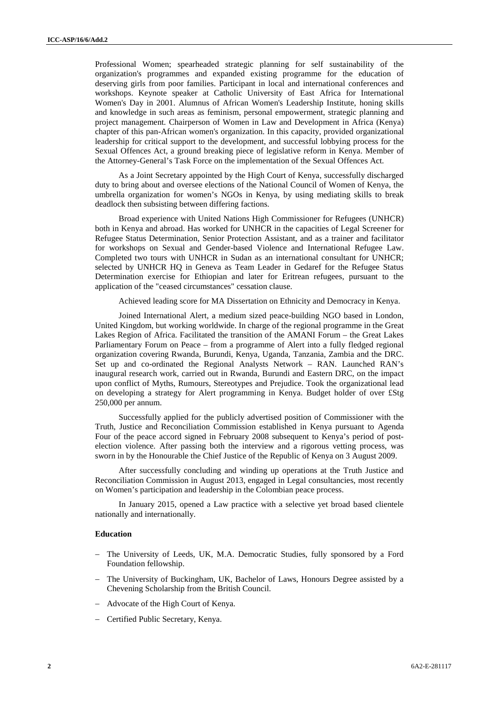Professional Women; spearheaded strategic planning for self sustainability of the organization's programmes and expanded existing programme for the education of deserving girls from poor families. Participant in local and international conferences and workshops. Keynote speaker at Catholic University of East Africa for International Women's Day in 2001. Alumnus of African Women's Leadership Institute, honing skills and knowledge in such areas as feminism, personal empowerment, strategic planning and project management. Chairperson of Women in Law and Development in Africa (Kenya) chapter of this pan-African women's organization. In this capacity, provided organizational leadership for critical support to the development, and successful lobbying process for the Sexual Offences Act, a ground breaking piece of legislative reform in Kenya. Member of the Attorney-General's Task Force on the implementation of the Sexual Offences Act.

As a Joint Secretary appointed by the High Court of Kenya, successfully discharged duty to bring about and oversee elections of the National Council of Women of Kenya, the umbrella organization for women's NGOs in Kenya, by using mediating skills to break deadlock then subsisting between differing factions.

Broad experience with United Nations High Commissioner for Refugees (UNHCR) both in Kenya and abroad. Has worked for UNHCR in the capacities of Legal Screener for Refugee Status Determination, Senior Protection Assistant, and as a trainer and facilitator for workshops on Sexual and Gender-based Violence and International Refugee Law. Completed two tours with UNHCR in Sudan as an international consultant for UNHCR; selected by UNHCR HQ in Geneva as Team Leader in Gedaref for the Refugee Status Determination exercise for Ethiopian and later for Eritrean refugees, pursuant to the application of the "ceased circumstances" cessation clause.

Achieved leading score for MA Dissertation on Ethnicity and Democracy in Kenya.

Joined International Alert, a medium sized peace-building NGO based in London, United Kingdom, but working worldwide. In charge of the regional programme in the Great Lakes Region of Africa. Facilitated the transition of the AMANI Forum – the Great Lakes Parliamentary Forum on Peace – from a programme of Alert into a fully fledged regional organization covering Rwanda, Burundi, Kenya, Uganda, Tanzania, Zambia and the DRC. Set up and co-ordinated the Regional Analysts Network – RAN. Launched RAN's inaugural research work, carried out in Rwanda, Burundi and Eastern DRC, on the impact upon conflict of Myths, Rumours, Stereotypes and Prejudice. Took the organizational lead on developing a strategy for Alert programming in Kenya. Budget holder of over £Stg 250,000 per annum.

Successfully applied for the publicly advertised position of Commissioner with the Truth, Justice and Reconciliation Commission established in Kenya pursuant to Agenda Four of the peace accord signed in February 2008 subsequent to Kenya's period of post election violence. After passing both the interview and a rigorous vetting process, was sworn in by the Honourable the Chief Justice of the Republic of Kenya on 3 August 2009.

After successfully concluding and winding up operations at the Truth Justice and Reconciliation Commission in August 2013, engaged in Legal consultancies, most recently on Women's participation and leadership in the Colombian peace process.

In January 2015, opened a Law practice with a selective yet broad based clientele nationally and internationally.

#### **Education**

- The University of Leeds, UK, M.A. Democratic Studies, fully sponsored by a Ford Foundation fellowship.
- The University of Buckingham, UK, Bachelor of Laws, Honours Degree assisted by a Chevening Scholarship from the British Council.
- Advocate of the High Court of Kenya.
- Certified Public Secretary, Kenya.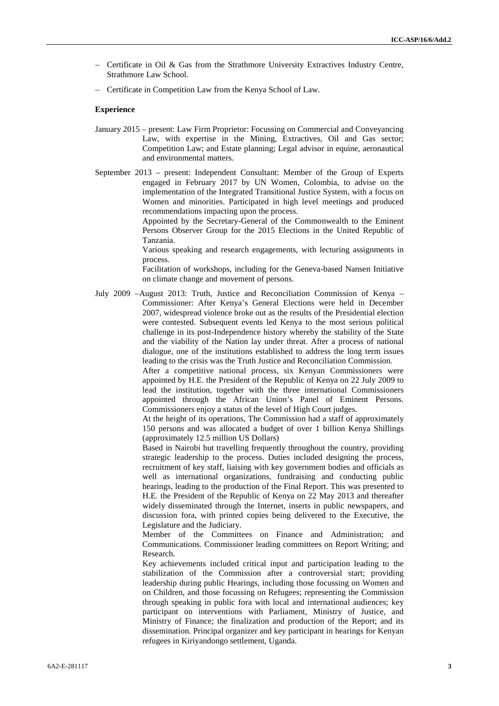- Certificate in Oil & Gas from the Strathmore University Extractives Industry Centre, Strathmore Law School.
- Certificate in Competition Law from the Kenya School of Law.

#### **Experience**

- January 2015 present: Law Firm Proprietor: Focussing on Commercial and Conveyancing Law, with expertise in the Mining, Extractives, Oil and Gas sector; Competition Law; and Estate planning; Legal advisor in equine, aeronautical and environmental matters.
- September 2013 present: Independent Consultant: Member of the Group of Experts engaged in February 2017 by UN Women, Colombia, to advise on the implementation of the Integrated Transitional Justice System, with a focus on Women and minorities. Participated in high level meetings and produced recommendations impacting upon the process.

Appointed by the Secretary-General of the Commonwealth to the Eminent Persons Observer Group for the 2015 Elections in the United Republic of Tanzania.

Various speaking and research engagements, with lecturing assignments in process.

Facilitation of workshops, including for the Geneva-based Nansen Initiative on climate change and movement of persons.

July 2009 –August 2013: Truth, Justice and Reconciliation Commission of Kenya – Commissioner: After Kenya's General Elections were held in December 2007, widespread violence broke out as the results of the Presidential election were contested. Subsequent events led Kenya to the most serious political challenge in its post-Independence history whereby the stability of the State and the viability of the Nation lay under threat. After a process of national dialogue, one of the institutions established to address the long term issues leading to the crisis was the Truth Justice and Reconciliation Commission.

> After a competitive national process, six Kenyan Commissioners were appointed by H.E. the President of the Republic of Kenya on 22 July 2009 to lead the institution, together with the three international Commissioners appointed through the African Union's Panel of Eminent Persons. Commissioners enjoy a status of the level of High Court judges.

> At the height of its operations, The Commission had a staff of approximately 150 persons and was allocated a budget of over 1 billion Kenya Shillings (approximately 12.5 million US Dollars)

> Based in Nairobi but travelling frequently throughout the country, providing strategic leadership to the process. Duties included designing the process, recruitment of key staff, liaising with key government bodies and officials as well as international organizations, fundraising and conducting public hearings, leading to the production of the Final Report. This was presented to H.E. the President of the Republic of Kenya on 22 May 2013 and thereafter widely disseminated through the Internet, inserts in public newspapers, and discussion fora, with printed copies being delivered to the Executive, the Legislature and the Judiciary.

> Member of the Committees on Finance and Administration; and Communications. Commissioner leading committees on Report Writing; and Research.

> Key achievements included critical input and participation leading to the stabilization of the Commission after a controversial start; providing leadership during public Hearings, including those focussing on Women and on Children, and those focussing on Refugees; representing the Commission through speaking in public fora with local and international audiences; key participant on interventions with Parliament, Ministry of Justice, and Ministry of Finance; the finalization and production of the Report; and its dissemination. Principal organizer and key participant in hearings for Kenyan refugees in Kiriyandongo settlement, Uganda.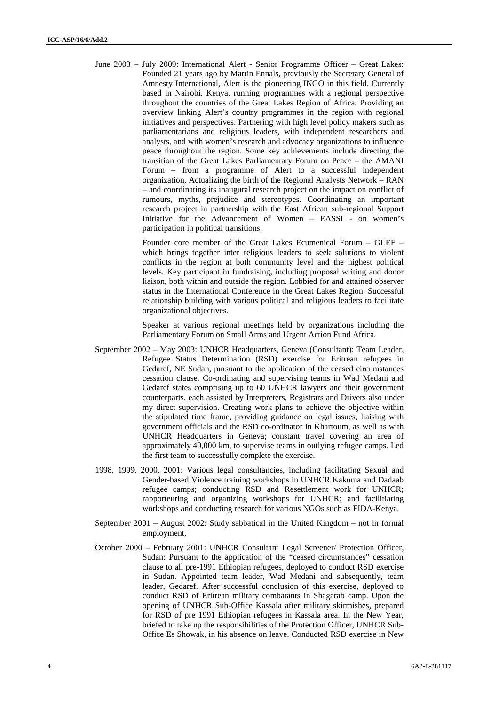June 2003 – July 2009: International Alert - Senior Programme Officer – Great Lakes: Founded 21 years ago by Martin Ennals, previously the Secretary General of Amnesty International, Alert is the pioneering INGO in this field. Currently based in Nairobi, Kenya, running programmes with a regional perspective throughout the countries of the Great Lakes Region of Africa. Providing an overview linking Alert's country programmes in the region with regional initiatives and perspectives. Partnering with high level policy makers such as parliamentarians and religious leaders, with independent researchers and analysts, and with women's research and advocacy organizations to influence peace throughout the region. Some key achievements include directing the transition of the Great Lakes Parliamentary Forum on Peace – the AMANI Forum – from a programme of Alert to a successful independent organization. Actualizing the birth of the Regional Analysts Network – RAN – and coordinating its inaugural research project on the impact on conflict of rumours, myths, prejudice and stereotypes. Coordinating an important research project in partnership with the East African sub-regional Support Initiative for the Advancement of Women – EASSI - on women's participation in political transitions.

> Founder core member of the Great Lakes Ecumenical Forum – GLEF – which brings together inter religious leaders to seek solutions to violent conflicts in the region at both community level and the highest political levels. Key participant in fundraising, including proposal writing and donor liaison, both within and outside the region. Lobbied for and attained observer status in the International Conference in the Great Lakes Region. Successful relationship building with various political and religious leaders to facilitate organizational objectives.

> Speaker at various regional meetings held by organizations including the Parliamentary Forum on Small Arms and Urgent Action Fund Africa.

- September 2002 May 2003: UNHCR Headquarters, Geneva (Consultant): Team Leader, Refugee Status Determination (RSD) exercise for Eritrean refugees in Gedaref, NE Sudan, pursuant to the application of the ceased circumstances cessation clause. Co-ordinating and supervising teams in Wad Medani and Gedaref states comprising up to 60 UNHCR lawyers and their government counterparts, each assisted by Interpreters, Registrars and Drivers also under my direct supervision. Creating work plans to achieve the objective within the stipulated time frame, providing guidance on legal issues, liaising with government officials and the RSD co-ordinator in Khartoum, as well as with UNHCR Headquarters in Geneva; constant travel covering an area of approximately 40,000 km, to supervise teams in outlying refugee camps. Led the first team to successfully complete the exercise.
- 1998, 1999, 2000, 2001: Various legal consultancies, including facilitating Sexual and Gender-based Violence training workshops in UNHCR Kakuma and Dadaab refugee camps; conducting RSD and Resettlement work for UNHCR; rapporteuring and organizing workshops for UNHCR; and facilitiating workshops and conducting research for various NGOs such as FIDA-Kenya.
- September 2001 August 2002: Study sabbatical in the United Kingdom not in formal employment.
- October 2000 February 2001: UNHCR Consultant Legal Screener/ Protection Officer, Sudan: Pursuant to the application of the "ceased circumstances" cessation clause to all pre-1991 Ethiopian refugees, deployed to conduct RSD exercise in Sudan. Appointed team leader, Wad Medani and subsequently, team leader, Gedaref. After successful conclusion of this exercise, deployed to conduct RSD of Eritrean military combatants in Shagarab camp. Upon the opening of UNHCR Sub-Office Kassala after military skirmishes, prepared for RSD of pre 1991 Ethiopian refugees in Kassala area. In the New Year, briefed to take up the responsibilities of the Protection Officer, UNHCR Sub- Office Es Showak, in his absence on leave. Conducted RSD exercise in New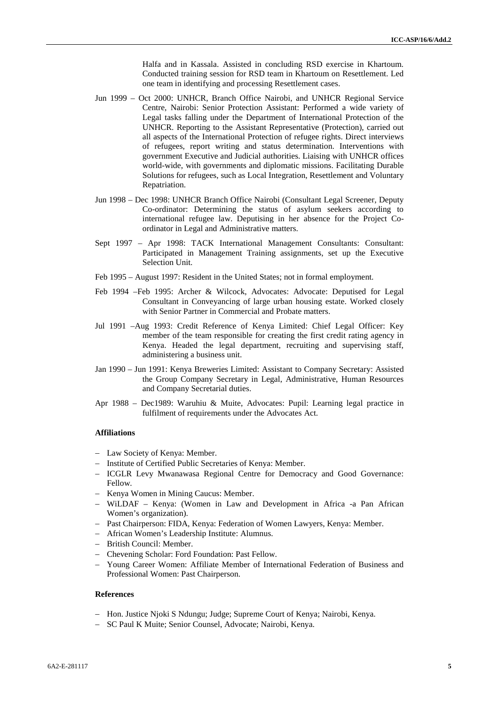Halfa and in Kassala. Assisted in concluding RSD exercise in Khartoum. Conducted training session for RSD team in Khartoum on Resettlement. Led one team in identifying and processing Resettlement cases.

- Jun 1999 Oct 2000: UNHCR, Branch Office Nairobi, and UNHCR Regional Service Centre, Nairobi: Senior Protection Assistant: Performed a wide variety of Legal tasks falling under the Department of International Protection of the UNHCR. Reporting to the Assistant Representative (Protection), carried out all aspects of the International Protection of refugee rights. Direct interviews of refugees, report writing and status determination. Interventions with government Executive and Judicial authorities. Liaising with UNHCR offices world-wide, with governments and diplomatic missions. Facilitating Durable Solutions for refugees, such as Local Integration, Resettlement and Voluntary Repatriation.
- Jun 1998 Dec 1998: UNHCR Branch Office Nairobi (Consultant Legal Screener, Deputy Co-ordinator: Determining the status of asylum seekers according to international refugee law. Deputising in her absence for the Project Co ordinator in Legal and Administrative matters.
- Sept 1997 Apr 1998: TACK International Management Consultants: Consultant: Participated in Management Training assignments, set up the Executive Selection Unit.
- Feb 1995 August 1997: Resident in the United States; not in formal employment.
- Feb 1994 –Feb 1995: Archer & Wilcock, Advocates: Advocate: Deputised for Legal Consultant in Conveyancing of large urban housing estate. Worked closely with Senior Partner in Commercial and Probate matters.
- Jul 1991 –Aug 1993: Credit Reference of Kenya Limited: Chief Legal Officer: Key member of the team responsible for creating the first credit rating agency in Kenya. Headed the legal department, recruiting and supervising staff, administering a business unit.
- Jan 1990 Jun 1991: Kenya Breweries Limited: Assistant to Company Secretary: Assisted the Group Company Secretary in Legal, Administrative, Human Resources and Company Secretarial duties.
- Apr 1988 Dec1989: Waruhiu & Muite, Advocates: Pupil: Learning legal practice in fulfilment of requirements under the Advocates Act.

#### **Affiliations**

- Law Society of Kenya: Member.
- Institute of Certified Public Secretaries of Kenya: Member.
- ICGLR Levy Mwanawasa Regional Centre for Democracy and Good Governance: Fellow.
- Kenya Women in Mining Caucus: Member.
- WiLDAF Kenya: (Women in Law and Development in Africa -a Pan African Women's organization).
- Past Chairperson: FIDA, Kenya: Federation of Women Lawyers, Kenya: Member.
- African Women's Leadership Institute: Alumnus.
- British Council: Member.
- Chevening Scholar: Ford Foundation: Past Fellow.
- Young Career Women: Affiliate Member of International Federation of Business and Professional Women: Past Chairperson.

#### **References**

- Hon. Justice Njoki S Ndungu; Judge; Supreme Court of Kenya; Nairobi, Kenya.
- SC Paul K Muite; Senior Counsel, Advocate; Nairobi, Kenya.